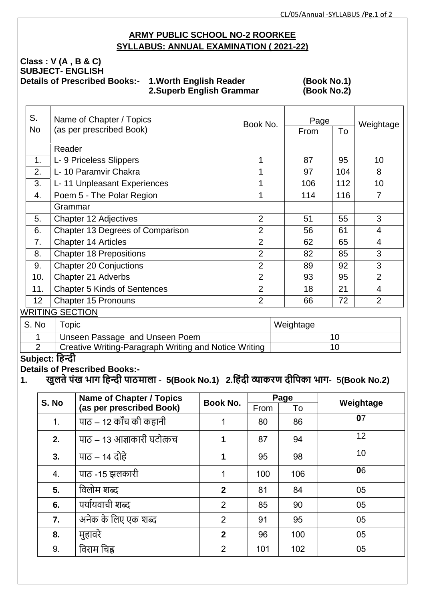# **ARMY PUBLIC SCHOOL NO-2 ROORKEE SYLLABUS: ANNUAL EXAMINATION ( 2021-22)**

# **Class : V (A , B & C) SUBJECT- ENGLISH**

**Details of Prescribed Books:- 1.Worth English Reader (Book No.1)**<br>2.Superb English Grammar (Book No.2) **2.Superb English Grammar** 

| S.              | Name of Chapter / Topics            | Book No.       | Page |     |                |  |
|-----------------|-------------------------------------|----------------|------|-----|----------------|--|
| <b>No</b>       | (as per prescribed Book)            |                | From | To  | Weightage      |  |
|                 | Reader                              |                |      |     |                |  |
| 1.              | L- 9 Priceless Slippers             |                | 87   | 95  | 10             |  |
| 2.              | L- 10 Paramvir Chakra               |                | 97   | 104 | 8              |  |
| 3.              | L- 11 Unpleasant Experiences        |                | 106  | 112 | 10             |  |
| 4.              | Poem 5 - The Polar Region           |                | 114  | 116 | 7              |  |
|                 | Grammar                             |                |      |     |                |  |
| 5.              | Chapter 12 Adjectives               | $\overline{2}$ | 51   | 55  | 3              |  |
| 6.              | Chapter 13 Degrees of Comparison    | $\overline{2}$ | 56   | 61  | 4              |  |
| 7.              | <b>Chapter 14 Articles</b>          | $\overline{2}$ | 62   | 65  | $\overline{4}$ |  |
| 8.              | <b>Chapter 18 Prepositions</b>      | $\overline{2}$ | 82   | 85  | 3              |  |
| 9.              | <b>Chapter 20 Conjuctions</b>       | $\overline{2}$ | 89   | 92  | 3              |  |
| 10.             | Chapter 21 Adverbs                  | $\overline{2}$ | 93   | 95  | $\overline{2}$ |  |
| 11.             | <b>Chapter 5 Kinds of Sentences</b> | $\overline{2}$ | 18   | 21  | $\overline{4}$ |  |
| 12 <sup>2</sup> | <b>Chapter 15 Pronouns</b>          | $\overline{2}$ | 66   | 72  | $\overline{2}$ |  |
|                 | <b>WRITING SECTION</b>              |                |      |     |                |  |

| S. No | opic                                                  | Weightage |
|-------|-------------------------------------------------------|-----------|
|       | Unseen Passage and Unseen Poem                        |           |
|       | Creative Writing-Paragraph Writing and Notice Writing |           |

# **Subject: हिन्दी**

**Details of Prescribed Books:-**

**<sup>1.</sup> खुलतेपंख भाग हिन्दी पाठमाला** - **5(Book No.1) 2.हिंदी व्याकरण दीहपका भाग**- 5**(Book No.2)**

|       | Name of Chapter / Topics<br>(as per prescribed Book) |                 | Page |     |           |  |
|-------|------------------------------------------------------|-----------------|------|-----|-----------|--|
| S. No |                                                      | <b>Book No.</b> | From | To  | Weightage |  |
| 1.    | पाठ – 12 काँच की कहानी                               | 1               | 80   | 86  | 07        |  |
| 2.    | पाठ – 13 आज्ञाकारी घटोत्कच                           | 1               | 87   | 94  | 12        |  |
| 3.    | पाठ – 14 दोहे                                        | 1               | 95   | 98  | 10        |  |
| 4.    | पाठ -15 झलकारी                                       | 1               | 100  | 106 | 06        |  |
| 5.    | विलोम शब्द                                           | $\mathbf{2}$    | 81   | 84  | 05        |  |
| 6.    | पर्यायवाची शब्द                                      | 2               | 85   | 90  | 05        |  |
| 7.    | अनेक के लिए एक शब्द                                  | $\overline{2}$  | 91   | 95  | 05        |  |
| 8.    | मुहावरे                                              | $\mathbf{2}$    | 96   | 100 | 05        |  |
| 9.    | विराम चिह्न                                          | 2               | 101  | 102 | 05        |  |